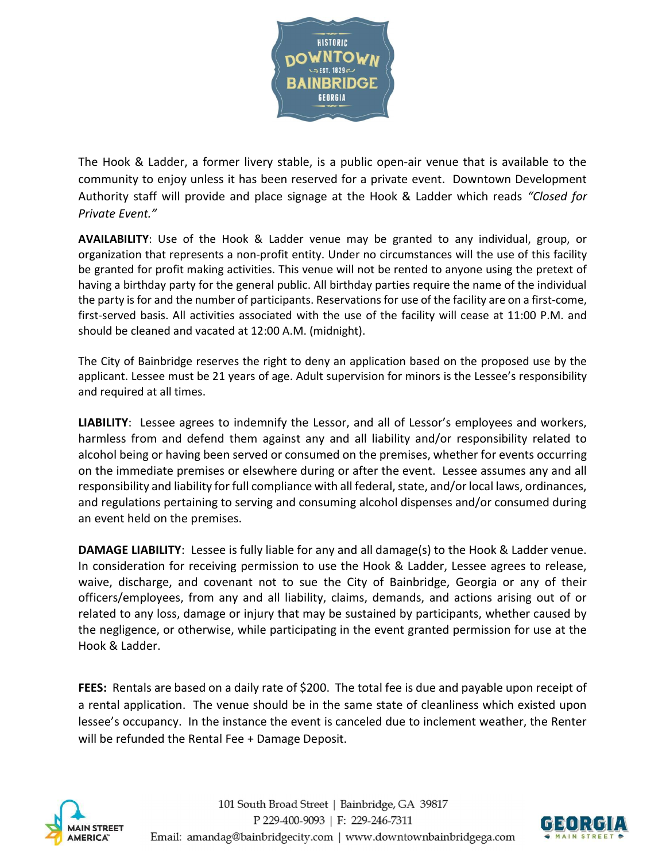

The Hook & Ladder, a former livery stable, is a public open-air venue that is available to the community to enjoy unless it has been reserved for a private event. Downtown Development Authority staff will provide and place signage at the Hook & Ladder which reads "Closed for Private Event."

AVAILABILITY: Use of the Hook & Ladder venue may be granted to any individual, group, or organization that represents a non-profit entity. Under no circumstances will the use of this facility be granted for profit making activities. This venue will not be rented to anyone using the pretext of having a birthday party for the general public. All birthday parties require the name of the individual the party is for and the number of participants. Reservations for use of the facility are on a first-come, first-served basis. All activities associated with the use of the facility will cease at 11:00 P.M. and should be cleaned and vacated at 12:00 A.M. (midnight).

The City of Bainbridge reserves the right to deny an application based on the proposed use by the applicant. Lessee must be 21 years of age. Adult supervision for minors is the Lessee's responsibility and required at all times.

LIABILITY: Lessee agrees to indemnify the Lessor, and all of Lessor's employees and workers, harmless from and defend them against any and all liability and/or responsibility related to alcohol being or having been served or consumed on the premises, whether for events occurring on the immediate premises or elsewhere during or after the event. Lessee assumes any and all responsibility and liability for full compliance with all federal, state, and/or local laws, ordinances, and regulations pertaining to serving and consuming alcohol dispenses and/or consumed during an event held on the premises.

DAMAGE LIABILITY: Lessee is fully liable for any and all damage(s) to the Hook & Ladder venue. In consideration for receiving permission to use the Hook & Ladder, Lessee agrees to release, waive, discharge, and covenant not to sue the City of Bainbridge, Georgia or any of their officers/employees, from any and all liability, claims, demands, and actions arising out of or related to any loss, damage or injury that may be sustained by participants, whether caused by the negligence, or otherwise, while participating in the event granted permission for use at the Hook & Ladder.

FEES: Rentals are based on a daily rate of \$200. The total fee is due and payable upon receipt of a rental application. The venue should be in the same state of cleanliness which existed upon lessee's occupancy. In the instance the event is canceled due to inclement weather, the Renter will be refunded the Rental Fee + Damage Deposit.



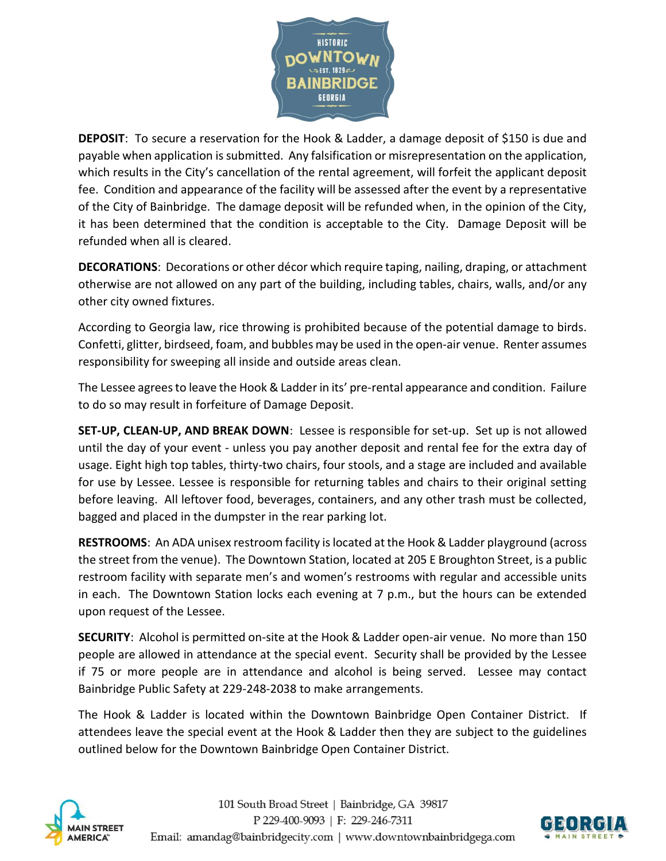

DEPOSIT: To secure a reservation for the Hook & Ladder, a damage deposit of \$150 is due and payable when application is submitted. Any falsification or misrepresentation on the application, which results in the City's cancellation of the rental agreement, will forfeit the applicant deposit fee. Condition and appearance of the facility will be assessed after the event by a representative of the City of Bainbridge. The damage deposit will be refunded when, in the opinion of the City, it has been determined that the condition is acceptable to the City. Damage Deposit will be refunded when all is cleared.

DECORATIONS: Decorations or other décor which require taping, nailing, draping, or attachment otherwise are not allowed on any part of the building, including tables, chairs, walls, and/or any other city owned fixtures.

According to Georgia law, rice throwing is prohibited because of the potential damage to birds. Confetti, glitter, birdseed, foam, and bubbles may be used in the open-air venue. Renter assumes responsibility for sweeping all inside and outside areas clean.

The Lessee agrees to leave the Hook & Ladder in its' pre-rental appearance and condition. Failure to do so may result in forfeiture of Damage Deposit.

SET-UP, CLEAN-UP, AND BREAK DOWN: Lessee is responsible for set-up. Set up is not allowed until the day of your event - unless you pay another deposit and rental fee for the extra day of usage. Eight high top tables, thirty-two chairs, four stools, and a stage are included and available for use by Lessee. Lessee is responsible for returning tables and chairs to their original setting before leaving. All leftover food, beverages, containers, and any other trash must be collected, bagged and placed in the dumpster in the rear parking lot.

RESTROOMS: An ADA unisex restroom facility is located at the Hook & Ladder playground (across the street from the venue). The Downtown Station, located at 205 E Broughton Street, is a public restroom facility with separate men's and women's restrooms with regular and accessible units in each. The Downtown Station locks each evening at 7 p.m., but the hours can be extended upon request of the Lessee.

SECURITY: Alcohol is permitted on-site at the Hook & Ladder open-air venue. No more than 150 people are allowed in attendance at the special event. Security shall be provided by the Lessee if 75 or more people are in attendance and alcohol is being served. Lessee may contact Bainbridge Public Safety at 229-248-2038 to make arrangements.

The Hook & Ladder is located within the Downtown Bainbridge Open Container District. If attendees leave the special event at the Hook & Ladder then they are subject to the guidelines outlined below for the Downtown Bainbridge Open Container District.



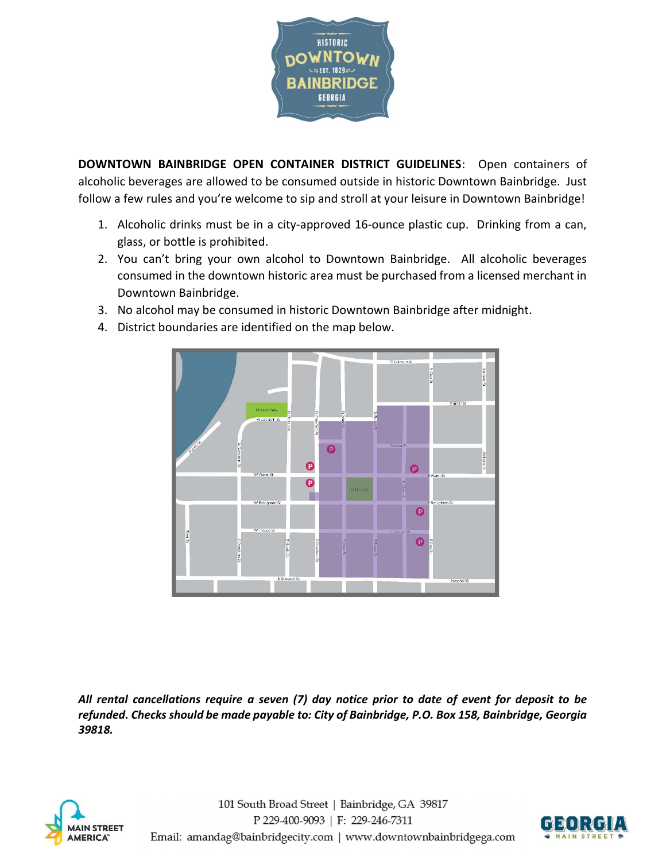

DOWNTOWN BAINBRIDGE OPEN CONTAINER DISTRICT GUIDELINES: Open containers of alcoholic beverages are allowed to be consumed outside in historic Downtown Bainbridge. Just follow a few rules and you're welcome to sip and stroll at your leisure in Downtown Bainbridge!

- 1. Alcoholic drinks must be in a city-approved 16-ounce plastic cup. Drinking from a can, glass, or bottle is prohibited.
- 2. You can't bring your own alcohol to Downtown Bainbridge. All alcoholic beverages consumed in the downtown historic area must be purchased from a licensed merchant in Downtown Bainbridge.
- 3. No alcohol may be consumed in historic Downtown Bainbridge after midnight.



4. District boundaries are identified on the map below.

All rental cancellations require a seven (7) day notice prior to date of event for deposit to be refunded. Checks should be made payable to: City of Bainbridge, P.O. Box 158, Bainbridge, Georgia 39818.



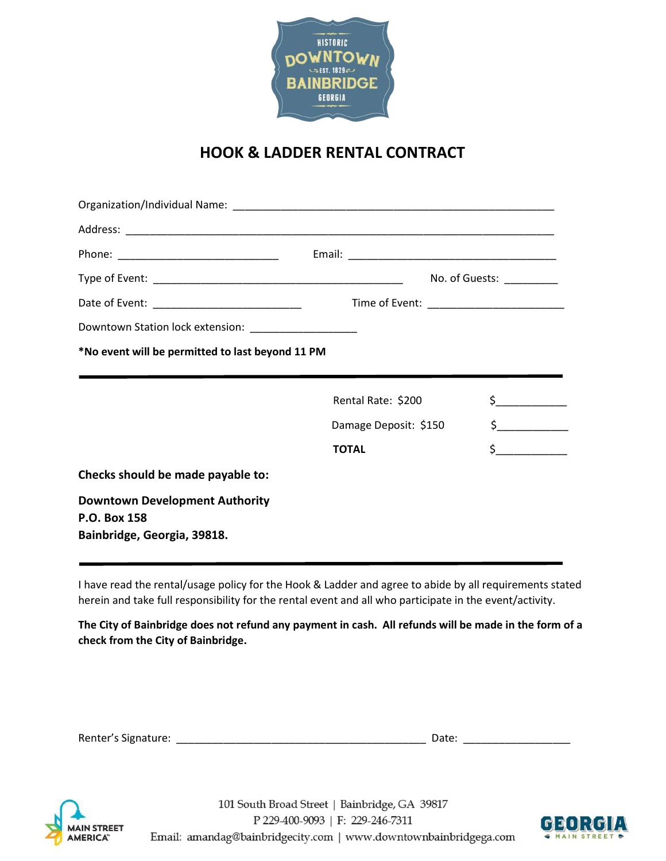

## HOOK & LADDER RENTAL CONTRACT

|                                                       |                                          | No. of Guests: |  |  |
|-------------------------------------------------------|------------------------------------------|----------------|--|--|
|                                                       | Time of Event: _________________________ |                |  |  |
| Downtown Station lock extension: ____________________ |                                          |                |  |  |
| *No event will be permitted to last beyond 11 PM      |                                          |                |  |  |
|                                                       |                                          |                |  |  |
|                                                       | Rental Rate: \$200                       |                |  |  |
|                                                       | Damage Deposit: \$150                    | $\frac{1}{2}$  |  |  |
|                                                       | <b>TOTAL</b>                             | $\frac{1}{5}$  |  |  |
| Checks should be made payable to:                     |                                          |                |  |  |
| <b>Downtown Development Authority</b>                 |                                          |                |  |  |
| P.O. Box 158                                          |                                          |                |  |  |
| Bainbridge, Georgia, 39818.                           |                                          |                |  |  |
|                                                       |                                          |                |  |  |

I have read the rental/usage policy for the Hook & Ladder and agree to abide by all requirements stated herein and take full responsibility for the rental event and all who participate in the event/activity.

The City of Bainbridge does not refund any payment in cash. All refunds will be made in the form of a check from the City of Bainbridge.

| Renter's Signature: | Date: |  |
|---------------------|-------|--|
|                     |       |  |



101 South Broad Street | Bainbridge, GA 39817 P 229-400-9093 | F: 229-246-7311 Email: amandag@bainbridgecity.com | www.downtownbainbridgega.com